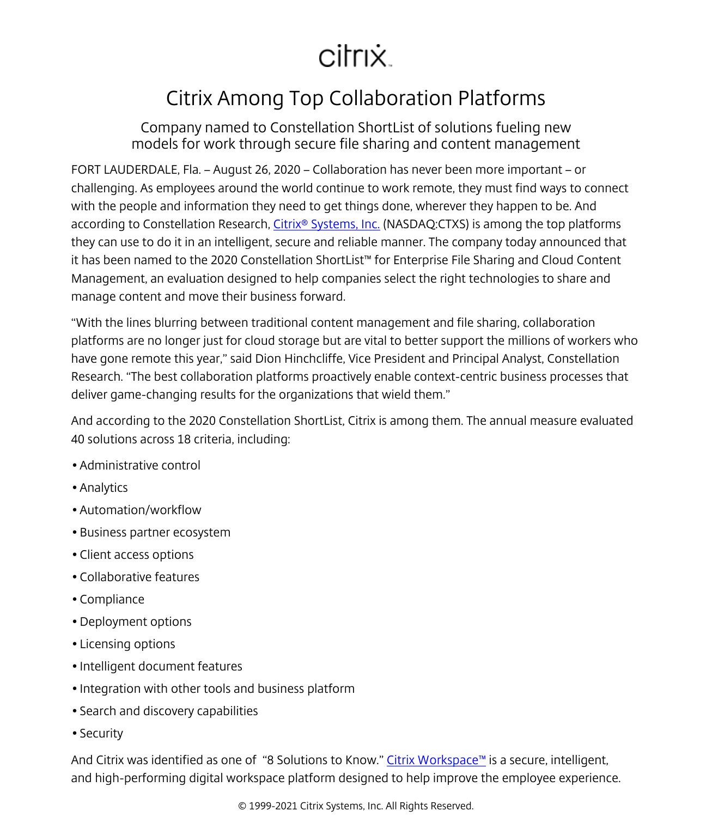## citrix.

## Citrix Among Top Collaboration Platforms

Company named to Constellation ShortList of solutions fueling new models for work through secure file sharing and content management

FORT LAUDERDALE, Fla. – August 26, 2020 – Collaboration has never been more important – or challenging. As employees around the world continue to work remote, they must find ways to connect with the people and information they need to get things done, wherever they happen to be. And according to Constellation Research, Citrix<sup>®</sup> Systems, Inc. (NASDAQ:CTXS) is among the top platforms they can use to do it in an intelligent, secure and reliable manner. The company today announced that it has been named to the 2020 Constellation ShortList™ for Enterprise File Sharing and Cloud Content Management, an evaluation designed to help companies select the right technologies to share and manage content and move their business forward.

"With the lines blurring between traditional content management and file sharing, collaboration platforms are no longer just for cloud storage but are vital to better support the millions of workers who have gone remote this year," said Dion Hinchcliffe, Vice President and Principal Analyst, Constellation Research. "The best collaboration platforms proactively enable context-centric business processes that deliver game-changing results for the organizations that wield them."

And according to the 2020 Constellation ShortList, Citrix is among them. The annual measure evaluated 40 solutions across 18 criteria, including:

- Administrative control
- Analytics
- Automation/workflow
- Business partner ecosystem
- Client access options
- Collaborative features
- Compliance
- Deployment options
- Licensing options
- Intelligent document features
- Integration with other tools and business platform
- Search and discovery capabilities
- Security

And Citrix was identified as one of "8 Solutions to Know." [Citrix Workspace™](/content/citrix/en-sg/products/citrix-workspace/
            .html) is a secure, intelligent, and high-performing digital workspace platform designed to help improve the employee experience.

© 1999-2021 Citrix Systems, Inc. All Rights Reserved.